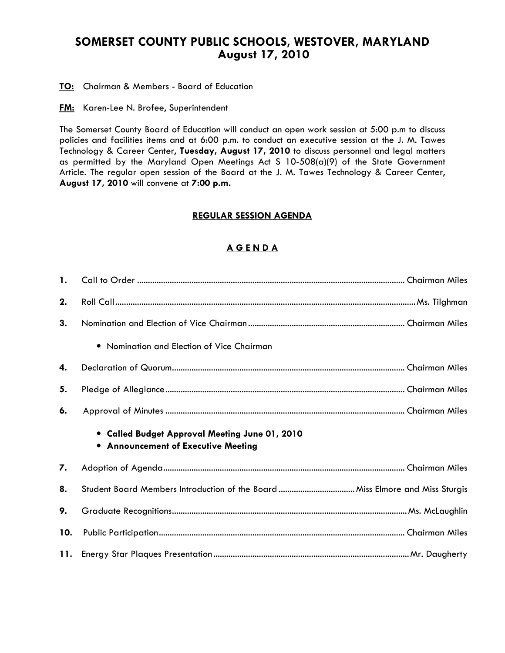# SOMERSET COUNTY PUBLIC SCHOOLS, WESTOVER, MARYLAND August 17, 2010

**TO:** Chairman & Members - Board of Education

**FM:** Karen-Lee N. Brofee, Superintendent

The Somerset County Board of Education will conduct an open work session at 5:00 p.m to discuss policies and facilities items and at 6:00 p.m. to conduct an executive session at the J. M. Tawes Technology & Career Center, Tuesday, August 17, 2010 to discuss personnel and legal matters as permitted by the Maryland Open Meetings Act S 10-508(a)(9) of the State Government Article. The regular open session of the Board at the J. M. Tawes Technology & Career Center, August 17, 2010 will convene at 7:00 p.m.

### REGULAR SESSION AGENDA

## A G E N D A

| $\mathbf{1}$ . |                                                                                              |
|----------------|----------------------------------------------------------------------------------------------|
| 2.             |                                                                                              |
| 3.             |                                                                                              |
|                | • Nomination and Election of Vice Chairman                                                   |
| 4.             |                                                                                              |
| 5.             |                                                                                              |
| 6.             |                                                                                              |
|                | • Called Budget Approval Meeting June 01, 2010<br><b>.</b> Announcement of Executive Meeting |
| 7.             |                                                                                              |
| 8.             |                                                                                              |
| 9.             |                                                                                              |
| 10.            |                                                                                              |
|                |                                                                                              |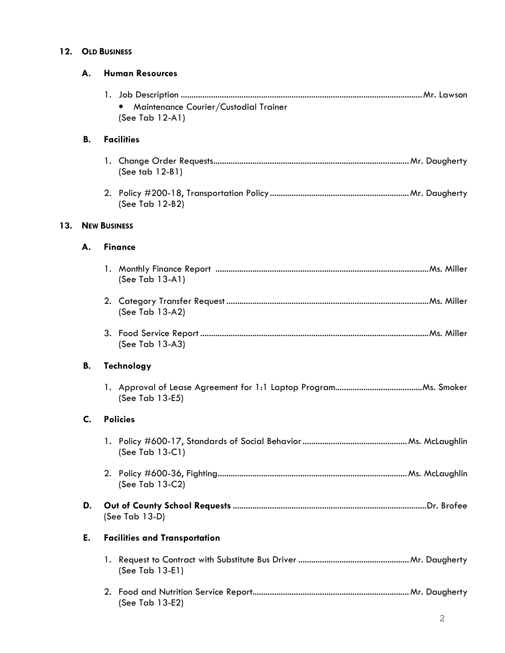# 12. OLD BUSINESS

|     | А. | <b>Human Resources</b>                                      |
|-----|----|-------------------------------------------------------------|
|     |    | Maintenance Courier/Custodial Trainer<br>(See Tab $12-A1$ ) |
|     | В. | <b>Facilities</b>                                           |
|     |    | (See tab 12-B1)                                             |
|     |    | (See Tab 12-B2)                                             |
| 13. |    | <b>NEW BUSINESS</b>                                         |
|     | А. | <b>Finance</b>                                              |
|     |    | (See Tab $13-A1$ )                                          |
|     |    | (See Tab 13-A2)                                             |
|     |    | (See Tab 13-A3)                                             |
|     | В. | Technology                                                  |
|     |    | (See Tab 13-E5)                                             |
|     | C. | <b>Policies</b>                                             |
|     |    | (See Tab 13-C1)                                             |
|     |    | (See Tab 13-C2)                                             |
|     | D. | (See Tab 13-D)                                              |
|     | E. | <b>Facilities and Transportation</b>                        |
|     |    | (See Tab 13-E1)                                             |
|     |    | (See Tab 13-E2)                                             |